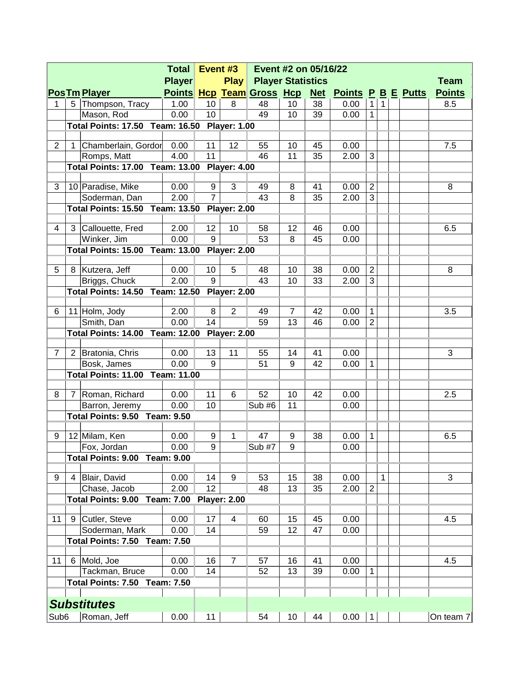| <b>Total</b>     |    |                                              |                   |                   | Event #3 $\parallel$<br>Event #2 on 05/16/22 |                               |                |    |                                                  |                |              |  |  |               |
|------------------|----|----------------------------------------------|-------------------|-------------------|----------------------------------------------|-------------------------------|----------------|----|--------------------------------------------------|----------------|--------------|--|--|---------------|
| <b>Player</b>    |    |                                              |                   |                   |                                              | <b>Play Player Statistics</b> |                |    |                                                  |                |              |  |  | <b>Team</b>   |
|                  |    | <b>PosTm Player</b>                          |                   |                   |                                              |                               |                |    | Points Hcp Team Gross Hcp Net Points P B E Putts |                |              |  |  | <b>Points</b> |
| 1                | 5  | Thompson, Tracy                              | 1.00              | 10                | 8                                            | 48                            | 10             | 38 | 0.00                                             | $\mathbf 1$    | 1            |  |  | 8.5           |
|                  |    | Mason, Rod                                   | 0.00              | 10                |                                              | 49                            | 10             | 39 | 0.00                                             | $\mathbf{1}$   |              |  |  |               |
|                  |    | Total Points: 17.50 Team: 16.50 Player: 1.00 |                   |                   |                                              |                               |                |    |                                                  |                |              |  |  |               |
|                  |    |                                              |                   |                   |                                              |                               |                |    |                                                  |                |              |  |  |               |
| $\overline{2}$   | -1 | Chamberlain, Gordor                          | 0.00              | 11                | 12                                           | 55                            | 10             | 45 | 0.00                                             |                |              |  |  | 7.5           |
|                  |    | Romps, Matt                                  | 4.00              | 11                |                                              | 46                            | 11             | 35 | 2.00                                             | 3              |              |  |  |               |
|                  |    | Total Points: 17.00 Team: 13.00 Player: 4.00 |                   |                   |                                              |                               |                |    |                                                  |                |              |  |  |               |
|                  |    | 10 Paradise, Mike                            | 0.00              | 9                 | 3                                            | 49                            | 8              | 41 | 0.00                                             | $\overline{2}$ |              |  |  | 8             |
| 3                |    | Soderman, Dan                                | 2.00              | $\overline{7}$    |                                              | 43                            | 8              | 35 | 2.00                                             | 3              |              |  |  |               |
|                  |    | Total Points: 15.50 Team: 13.50 Player: 2.00 |                   |                   |                                              |                               |                |    |                                                  |                |              |  |  |               |
|                  |    |                                              |                   |                   |                                              |                               |                |    |                                                  |                |              |  |  |               |
| 4                |    | 3 Callouette, Fred                           | 2.00              | 12                | 10                                           | 58                            | 12             | 46 | 0.00                                             |                |              |  |  | 6.5           |
|                  |    | Winker, Jim                                  | 0.00              | 9                 |                                              | 53                            | 8              | 45 | 0.00                                             |                |              |  |  |               |
|                  |    | Total Points: 15.00 Team: 13.00 Player: 2.00 |                   |                   |                                              |                               |                |    |                                                  |                |              |  |  |               |
|                  |    |                                              |                   |                   |                                              |                               |                |    |                                                  |                |              |  |  |               |
| 5                |    | 8 Kutzera, Jeff                              | 0.00              | 10                | 5                                            | 48                            | 10             | 38 | 0.00                                             | $\overline{2}$ |              |  |  | 8             |
|                  |    | Briggs, Chuck                                | 2.00              | 9                 |                                              | 43                            | 10             | 33 | 2.00                                             | 3              |              |  |  |               |
|                  |    | Total Points: 14.50 Team: 12.50 Player: 2.00 |                   |                   |                                              |                               |                |    |                                                  |                |              |  |  |               |
| 6                |    | 11 Holm, Jody                                | 2.00              | 8                 | $\overline{2}$                               | 49                            | $\overline{7}$ | 42 | 0.00                                             | $\mathbf{1}$   |              |  |  | 3.5           |
|                  |    | Smith, Dan                                   | 0.00              | 14                |                                              | 59                            | 13             | 46 | 0.00                                             | $\overline{2}$ |              |  |  |               |
|                  |    | Total Points: 14.00 Team: 12.00 Player: 2.00 |                   |                   |                                              |                               |                |    |                                                  |                |              |  |  |               |
|                  |    |                                              |                   |                   |                                              |                               |                |    |                                                  |                |              |  |  |               |
| 7                |    | 2 Bratonia, Chris                            | 0.00              | 13                | 11                                           | 55                            | 14             | 41 | 0.00                                             |                |              |  |  | 3             |
|                  |    | Bosk, James                                  | 0.00              | 9                 |                                              | 51                            | 9              | 42 | 0.00                                             | 1              |              |  |  |               |
|                  |    | Total Points: 11.00 Team: 11.00              |                   |                   |                                              |                               |                |    |                                                  |                |              |  |  |               |
|                  |    |                                              |                   |                   |                                              |                               |                |    |                                                  |                |              |  |  |               |
| 8                | 7  | Roman, Richard                               | 0.00              | 11                | 6                                            | 52                            | 10             | 42 | 0.00                                             |                |              |  |  | 2.5           |
|                  |    | Barron, Jeremy                               | 0.00              | 10                |                                              | Sub #6                        | 11             |    | 0.00                                             |                |              |  |  |               |
|                  |    | Total Points: 9.50 Team: 9.50                |                   |                   |                                              |                               |                |    |                                                  |                |              |  |  |               |
|                  |    |                                              |                   |                   |                                              |                               |                |    |                                                  |                |              |  |  |               |
| 9                |    | 12 Milam, Ken                                | 0.00              | 9<br>$\mathbf{Q}$ | 1                                            | 47<br><b>Sub #7</b>           | 9<br>9         | 38 | 0.00<br>0.00                                     | $\mathbf{1}$   |              |  |  | 6.5           |
|                  |    | Fox, Jordan<br>Total Points: 9.00 Team: 9.00 | 0.00              |                   |                                              |                               |                |    |                                                  |                |              |  |  |               |
|                  |    |                                              |                   |                   |                                              |                               |                |    |                                                  |                |              |  |  |               |
| 9                | 4  | Blair, David                                 | 0.00              | 14                | 9                                            | 53                            | 15             | 38 | 0.00                                             |                | $\mathbf{1}$ |  |  | 3             |
|                  |    | Chase, Jacob                                 | 2.00              | 12                |                                              | 48                            | 13             | 35 | 2.00                                             | $\overline{c}$ |              |  |  |               |
|                  |    | <b>Total Points: 9.00</b>                    | <b>Team: 7.00</b> |                   | <b>Player: 2.00</b>                          |                               |                |    |                                                  |                |              |  |  |               |
|                  |    |                                              |                   |                   |                                              |                               |                |    |                                                  |                |              |  |  |               |
| 11               | 9  | Cutler, Steve                                | 0.00              | 17                | 4                                            | 60                            | 15             | 45 | 0.00                                             |                |              |  |  | 4.5           |
|                  |    | Soderman, Mark                               | 0.00              | 14                |                                              | 59                            | 12             | 47 | 0.00                                             |                |              |  |  |               |
|                  |    | <b>Total Points: 7.50 Team: 7.50</b>         |                   |                   |                                              |                               |                |    |                                                  |                |              |  |  |               |
|                  |    |                                              |                   |                   |                                              |                               |                |    |                                                  |                |              |  |  |               |
| 11               | 6  | Mold, Joe                                    | 0.00              | 16                | 7                                            | 57                            | 16             | 41 | 0.00                                             |                |              |  |  | 4.5           |
|                  |    | Tackman, Bruce                               | 0.00              | 14                |                                              | 52                            | 13             | 39 | 0.00                                             | 1              |              |  |  |               |
|                  |    | <b>Total Points: 7.50 Team: 7.50</b>         |                   |                   |                                              |                               |                |    |                                                  |                |              |  |  |               |
|                  |    |                                              |                   |                   |                                              |                               |                |    |                                                  |                |              |  |  |               |
|                  |    | <b>Substitutes</b>                           |                   |                   |                                              |                               |                |    |                                                  |                |              |  |  |               |
| Sub <sub>6</sub> |    | Roman, Jeff                                  | 0.00              | 11                |                                              | 54                            | 10             | 44 | 0.00                                             | $\mathbf{1}$   |              |  |  | On team $7$   |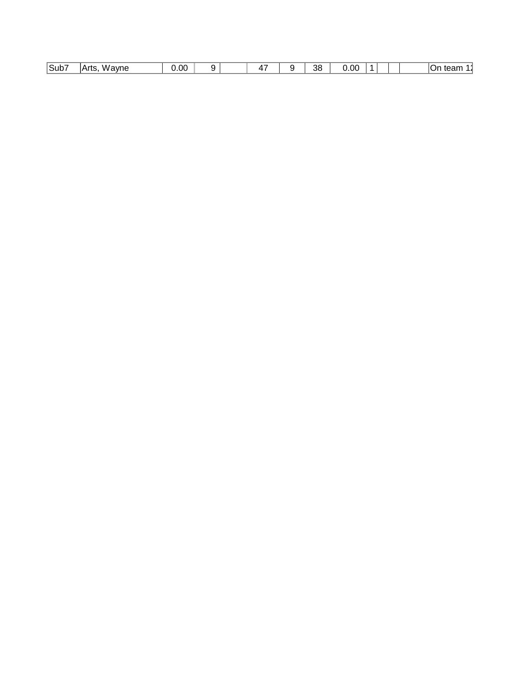| Sub. | Wavne<br>- Arts | 0.00 |  |  |  |  | 38 | $0.00\,$ |  |  |  | - - -<br>$\sim$ $\sim$<br>ົາ tea. |
|------|-----------------|------|--|--|--|--|----|----------|--|--|--|-----------------------------------|
|------|-----------------|------|--|--|--|--|----|----------|--|--|--|-----------------------------------|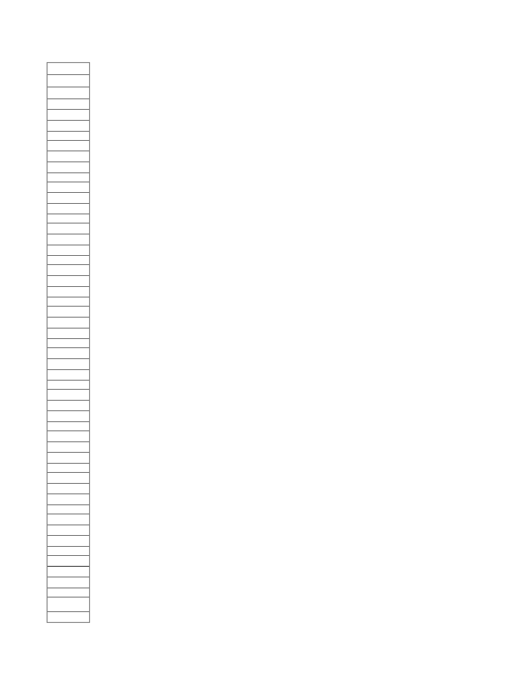